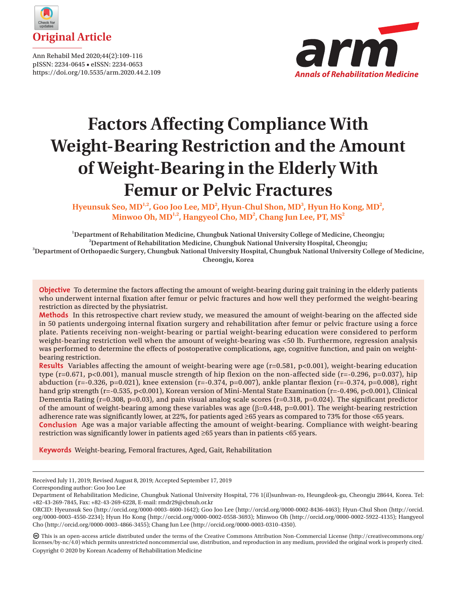

Ann Rehabil Med 2020;44(2):109-116 pISSN: 2234-0645 • eISSN: 2234-0653 https://doi.org/10.5535/arm.2020.44.2.109



# **Factors Affecting Compliance With Weight-Bearing Restriction and the Amount of Weight-Bearing in the Elderly With Femur or Pelvic Fractures**

Hyeunsuk Seo, MD<sup>1,2</sup>, Goo Joo Lee, MD<sup>2</sup>, Hyun-Chul Shon, MD<sup>3</sup>, Hyun Ho Kong, MD<sup>2</sup>, Minwoo Oh, MD<sup>1,2</sup>, Hangyeol Cho, MD<sup>2</sup>, Chang Jun Lee, PT, MS<sup>2</sup>

<sup>1</sup><br> **1** Department of Rehabilitation Medicine, Chungbuk National University College of Medicine, Cheongju;<br>
<sup>2</sup> Department of Rehabilitation Medicine, Chungbuk National University Heepital Cheongju; **Department of Rehabilitation Medicine, Chungbuk National University Hospital, Cheongju; 3 Department of Orthopaedic Surgery, Chungbuk National University Hospital, Chungbuk National University College of Medicine, Cheongju, Korea**

**Objective** To determine the factors affecting the amount of weight-bearing during gait training in the elderly patients who underwent internal fixation after femur or pelvic fractures and how well they performed the weight-bearing restriction as directed by the physiatrist.

**Methods** In this retrospective chart review study, we measured the amount of weight-bearing on the affected side in 50 patients undergoing internal fixation surgery and rehabilitation after femur or pelvic fracture using a force plate. Patients receiving non-weight-bearing or partial weight-bearing education were considered to perform weight-bearing restriction well when the amount of weight-bearing was <50 lb. Furthermore, regression analysis was performed to determine the effects of postoperative complications, age, cognitive function, and pain on weightbearing restriction.

**Results** Variables affecting the amount of weight-bearing were age (r=0.581, p<0.001), weight-bearing education type  $(r=0.671, p<0.001)$ , manual muscle strength of hip flexion on the non-affected side  $(r=-0.296, p=0.037)$ , hip abduction (r=-0.326, p=0.021), knee extension (r=-0.374, p=0.007), ankle plantar flexion (r=-0.374, p=0.008), right hand grip strength (r=-0.535, p<0.001), Korean version of Mini-Mental State Examination (r=-0.496, p<0.001), Clinical Dementia Rating ( $r=0.308$ ,  $p=0.03$ ), and pain visual analog scale scores ( $r=0.318$ ,  $p=0.024$ ). The significant predictor of the amount of weight-bearing among these variables was age  $(\beta=0.448, p=0.001)$ . The weight-bearing restriction adherence rate was significantly lower, at 22%, for patients aged ≥65 years as compared to 73% for those <65 years. **Conclusion** Age was a major variable affecting the amount of weight-bearing. Compliance with weight-bearing restriction was significantly lower in patients aged ≥65 years than in patients <65 years.

**Keywords** Weight-bearing, Femoral fractures, Aged, Gait, Rehabilitation

Corresponding author: Goo Joo Lee

 This is an open-access article distributed under the terms of the Creative Commons Attribution Non-Commercial License (http://creativecommons.org/ licenses/by-nc/4.0) which permits unrestricted noncommercial use, distribution, and reproduction in any medium, provided the original work is properly cited. Copyright © 2020 by Korean Academy of Rehabilitation Medicine

Received July 11, 2019; Revised August 8, 2019; Accepted September 17, 2019

Department of Rehabilitation Medicine, Chungbuk National University Hospital, 776 1(il)sunhwan-ro, Heungdeok-gu, Cheongju 28644, Korea. Tel: +82-43-269-7845, Fax: +82-43-269-6228, E-mail: [rmdr29@cbnuh.or.kr](mailto:rmdr29@cbnuh.or.kr)

ORCID: Hyeunsuk Seo (<http://orcid.org/0000-0003-4600-1642>); Goo Joo Lee ([http://orcid.org/0000-0002-8436-4463\)](http://orcid.org/0000-0002-8436-4463); Hyun-Chul Shon [\(http://orcid.](http://orcid.org/0000-0003-4550-2234) [org/0000-0003-4550-2234](http://orcid.org/0000-0003-4550-2234)); Hyun Ho Kong [\(http://orcid.org/0000-0002-0558-3693\)](http://orcid.org/0000-0002-0558-3693); Minwoo Oh ([http://orcid.org/0000-0002-5922-4135\)](http://orcid.org/0000-0002-5922-4135); Hangyeol Cho [\(http://orcid.org/0000-0003-4866-3455](http://orcid.org/0000-0003-4866-3455)); Chang Jun Lee ([http://orcid.org/0000-0003-0310-4350\)](http://orcid.org/0000-0003-0310-4350).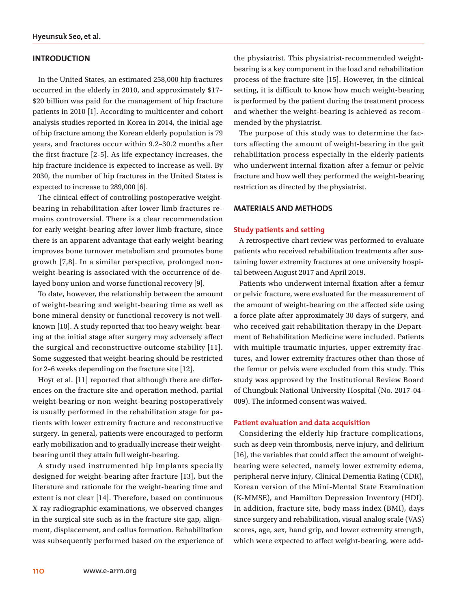## **INTRODUCTION**

In the United States, an estimated 258,000 hip fractures occurred in the elderly in 2010, and approximately \$17– \$20 billion was paid for the management of hip fracture patients in 2010 [1]. According to multicenter and cohort analysis studies reported in Korea in 2014, the initial age of hip fracture among the Korean elderly population is 79 years, and fractures occur within 9.2–30.2 months after the first fracture [2-5]. As life expectancy increases, the hip fracture incidence is expected to increase as well. By 2030, the number of hip fractures in the United States is expected to increase to 289,000 [6].

The clinical effect of controlling postoperative weightbearing in rehabilitation after lower limb fractures remains controversial. There is a clear recommendation for early weight-bearing after lower limb fracture, since there is an apparent advantage that early weight-bearing improves bone turnover metabolism and promotes bone growth [7,8]. In a similar perspective, prolonged nonweight-bearing is associated with the occurrence of delayed bony union and worse functional recovery [9].

To date, however, the relationship between the amount of weight-bearing and weight-bearing time as well as bone mineral density or functional recovery is not wellknown [10]. A study reported that too heavy weight-bearing at the initial stage after surgery may adversely affect the surgical and reconstructive outcome stability [11]. Some suggested that weight-bearing should be restricted for 2–6 weeks depending on the fracture site [12].

Hoyt et al. [11] reported that although there are differences on the fracture site and operation method, partial weight-bearing or non-weight-bearing postoperatively is usually performed in the rehabilitation stage for patients with lower extremity fracture and reconstructive surgery. In general, patients were encouraged to perform early mobilization and to gradually increase their weightbearing until they attain full weight-bearing.

A study used instrumented hip implants specially designed for weight-bearing after fracture [13], but the literature and rationale for the weight-bearing time and extent is not clear [14]. Therefore, based on continuous X-ray radiographic examinations, we observed changes in the surgical site such as in the fracture site gap, alignment, displacement, and callus formation. Rehabilitation was subsequently performed based on the experience of the physiatrist. This physiatrist-recommended weightbearing is a key component in the load and rehabilitation process of the fracture site [15]. However, in the clinical setting, it is difficult to know how much weight-bearing is performed by the patient during the treatment process and whether the weight-bearing is achieved as recommended by the physiatrist.

The purpose of this study was to determine the factors affecting the amount of weight-bearing in the gait rehabilitation process especially in the elderly patients who underwent internal fixation after a femur or pelvic fracture and how well they performed the weight-bearing restriction as directed by the physiatrist.

### **MATERIALS AND METHODS**

#### **Study patients and setting**

A retrospective chart review was performed to evaluate patients who received rehabilitation treatments after sustaining lower extremity fractures at one university hospital between August 2017 and April 2019.

Patients who underwent internal fixation after a femur or pelvic fracture, were evaluated for the measurement of the amount of weight-bearing on the affected side using a force plate after approximately 30 days of surgery, and who received gait rehabilitation therapy in the Department of Rehabilitation Medicine were included. Patients with multiple traumatic injuries, upper extremity fractures, and lower extremity fractures other than those of the femur or pelvis were excluded from this study. This study was approved by the Institutional Review Board of Chungbuk National University Hospital (No. 2017-04- 009). The informed consent was waived.

#### **Patient evaluation and data acquisition**

Considering the elderly hip fracture complications, such as deep vein thrombosis, nerve injury, and delirium [16], the variables that could affect the amount of weightbearing were selected, namely lower extremity edema, peripheral nerve injury, Clinical Dementia Rating (CDR), Korean version of the Mini-Mental State Examination (K-MMSE), and Hamilton Depression Inventory (HDI). In addition, fracture site, body mass index (BMI), days since surgery and rehabilitation, visual analog scale (VAS) scores, age, sex, hand grip, and lower extremity strength, which were expected to affect weight-bearing, were add-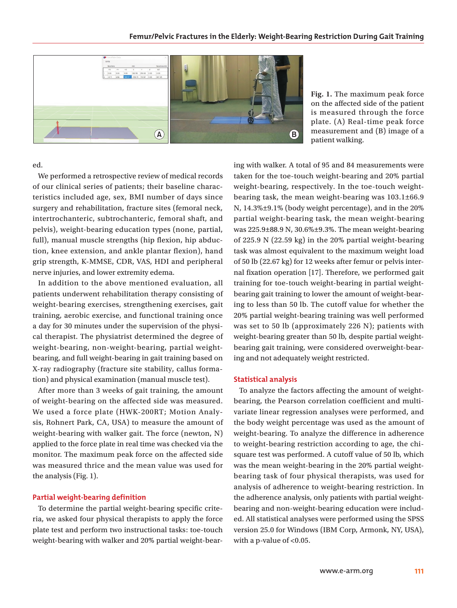

**Fig. 1.** The maximum peak force on the affected side of the patient is measured through the force plate. (A) Real-time peak force measurement and (B) image of a patient walking.

ed.

We performed a retrospective review of medical records of our clinical series of patients; their baseline characteristics included age, sex, BMI number of days since surgery and rehabilitation, fracture sites (femoral neck, intertrochanteric, subtrochanteric, femoral shaft, and pelvis), weight-bearing education types (none, partial, full), manual muscle strengths (hip flexion, hip abduction, knee extension, and ankle plantar flexion), hand grip strength, K-MMSE, CDR, VAS, HDI and peripheral nerve injuries, and lower extremity edema.

In addition to the above mentioned evaluation, all patients underwent rehabilitation therapy consisting of weight-bearing exercises, strengthening exercises, gait training, aerobic exercise, and functional training once a day for 30 minutes under the supervision of the physical therapist. The physiatrist determined the degree of weight-bearing, non-weight-bearing, partial weightbearing, and full weight-bearing in gait training based on X-ray radiography (fracture site stability, callus formation) and physical examination (manual muscle test).

After more than 3 weeks of gait training, the amount of weight-bearing on the affected side was measured. We used a force plate (HWK-200RT; Motion Analysis, Rohnert Park, CA, USA) to measure the amount of weight-bearing with walker gait. The force (newton, N) applied to the force plate in real time was checked via the monitor. The maximum peak force on the affected side was measured thrice and the mean value was used for the analysis (Fig. 1).

#### **Partial weight-bearing definition**

To determine the partial weight-bearing specific criteria, we asked four physical therapists to apply the force plate test and perform two instructional tasks: toe-touch weight-bearing with walker and 20% partial weight-bearing with walker. A total of 95 and 84 measurements were taken for the toe-touch weight-bearing and 20% partial weight-bearing, respectively. In the toe-touch weightbearing task, the mean weight-bearing was 103.1±66.9 N, 14.3%±9.1% (body weight percentage), and in the 20% partial weight-bearing task, the mean weight-bearing was 225.9±88.9 N, 30.6%±9.3%. The mean weight-bearing of 225.9 N (22.59 kg) in the 20% partial weight-bearing task was almost equivalent to the maximum weight load of 50 lb (22.67 kg) for 12 weeks after femur or pelvis internal fixation operation [17]. Therefore, we performed gait training for toe-touch weight-bearing in partial weightbearing gait training to lower the amount of weight-bearing to less than 50 lb. The cutoff value for whether the 20% partial weight-bearing training was well performed was set to 50 lb (approximately 226 N); patients with weight-bearing greater than 50 lb, despite partial weightbearing gait training, were considered overweight-bearing and not adequately weight restricted.

#### **Statistical analysis**

To analyze the factors affecting the amount of weightbearing, the Pearson correlation coefficient and multivariate linear regression analyses were performed, and the body weight percentage was used as the amount of weight-bearing. To analyze the difference in adherence to weight-bearing restriction according to age, the chisquare test was performed. A cutoff value of 50 lb, which was the mean weight-bearing in the 20% partial weightbearing task of four physical therapists, was used for analysis of adherence to weight-bearing restriction. In the adherence analysis, only patients with partial weightbearing and non-weight-bearing education were included. All statistical analyses were performed using the SPSS version 25.0 for Windows (IBM Corp, Armonk, NY, USA), with a p-value of <0.05.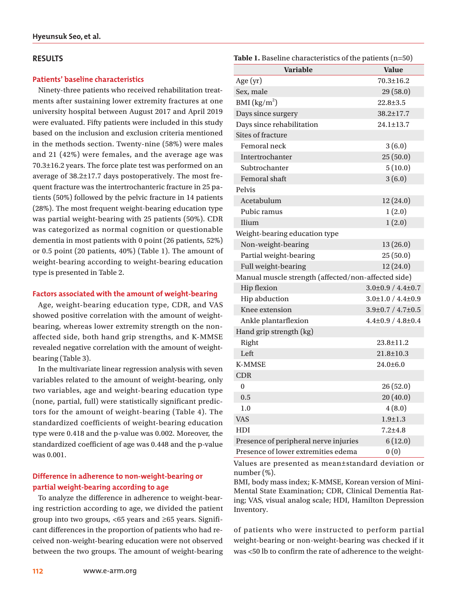## **RESULTS**

## **Patients' baseline characteristics**

Ninety-three patients who received rehabilitation treatments after sustaining lower extremity fractures at one university hospital between August 2017 and April 2019 were evaluated. Fifty patients were included in this study based on the inclusion and exclusion criteria mentioned in the methods section. Twenty-nine (58%) were males and 21 (42%) were females, and the average age was 70.3±16.2 years. The force plate test was performed on an average of 38.2±17.7 days postoperatively. The most frequent fracture was the intertrochanteric fracture in 25 patients (50%) followed by the pelvic fracture in 14 patients (28%). The most frequent weight-bearing education type was partial weight-bearing with 25 patients (50%). CDR was categorized as normal cognition or questionable dementia in most patients with 0 point (26 patients, 52%) or 0.5 point (20 patients, 40%) (Table 1). The amount of weight-bearing according to weight-bearing education type is presented in Table 2.

### **Factors associated with the amount of weight-bearing**

Age, weight-bearing education type, CDR, and VAS showed positive correlation with the amount of weightbearing, whereas lower extremity strength on the nonaffected side, both hand grip strengths, and K-MMSE revealed negative correlation with the amount of weightbearing (Table 3).

In the multivariate linear regression analysis with seven variables related to the amount of weight-bearing, only two variables, age and weight-bearing education type (none, partial, full) were statistically significant predictors for the amount of weight-bearing (Table 4). The standardized coefficients of weight-bearing education type were 0.418 and the p-value was 0.002. Moreover, the standardized coefficient of age was 0.448 and the p-value was 0.001.

# **Difference in adherence to non-weight-bearing or partial weight-bearing according to age**

To analyze the difference in adherence to weight-bearing restriction according to age, we divided the patient group into two groups, <65 years and ≥65 years. Significant differences in the proportion of patients who had received non-weight-bearing education were not observed between the two groups. The amount of weight-bearing

| <b>Variable</b>                                     | <b>Value</b>                  |
|-----------------------------------------------------|-------------------------------|
| Age $(yr)$                                          | $70.3 \pm 16.2$               |
| Sex, male                                           | 29(58.0)                      |
| BMI $\left({\rm kg/m}^2\right)$                     | $22.8 \pm 3.5$                |
| Days since surgery                                  | 38.2±17.7                     |
| Days since rehabilitation                           | $24.1 \pm 13.7$               |
| <b>Sites of fracture</b>                            |                               |
| Femoral neck                                        | 3(6.0)                        |
| Intertrochanter                                     | 25(50.0)                      |
| Subtrochanter                                       | 5(10.0)                       |
| Femoral shaft                                       | 3(6.0)                        |
| Pelvis                                              |                               |
| Acetabulum                                          | 12(24.0)                      |
| Pubic ramus                                         | 1(2.0)                        |
| Ilium                                               | 1(2.0)                        |
| Weight-bearing education type                       |                               |
| Non-weight-bearing                                  | 13(26.0)                      |
| Partial weight-bearing                              | 25(50.0)                      |
| Full weight-bearing                                 | 12(24.0)                      |
| Manual muscle strength (affected/non-affected side) |                               |
| <b>Hip flexion</b>                                  | $3.0\pm0.9 / 4.4\pm0.7$       |
| Hip abduction                                       | $3.0\pm1.0 / 4.4\pm0.9$       |
| Knee extension                                      | $3.9 \pm 0.7 / 4.7 \pm 0.5$   |
| Ankle plantarflexion                                | $4.4{\pm}0.9$ / $4.8{\pm}0.4$ |
| Hand grip strength (kg)                             |                               |
| Right                                               | $23.8 \pm 11.2$               |
| Left                                                | $21.8 \pm 10.3$               |
| <b>K-MMSE</b>                                       | $24.0 \pm 6.0$                |
| <b>CDR</b>                                          |                               |
| $\mathbf{0}$                                        | 26(52.0)                      |
| 0.5                                                 | 20(40.0)                      |
| 1.0                                                 | 4(8.0)                        |
| <b>VAS</b>                                          | $1.9 \pm 1.3$                 |
| HDI                                                 | $7.2 + 4.8$                   |
| Presence of peripheral nerve injuries               | 6(12.0)                       |
| Presence of lower extremities edema                 | 0(0)                          |

**Table 1.** Baseline characteristics of the patients (n=50)

Values are presented as mean±standard deviation or number (%).

BMI, body mass index; K-MMSE, Korean version of Mini-Mental State Examination; CDR, Clinical Dementia Rating; VAS, visual analog scale; HDI, Hamilton Depression Inventory.

of patients who were instructed to perform partial weight-bearing or non-weight-bearing was checked if it was <50 lb to confirm the rate of adherence to the weight-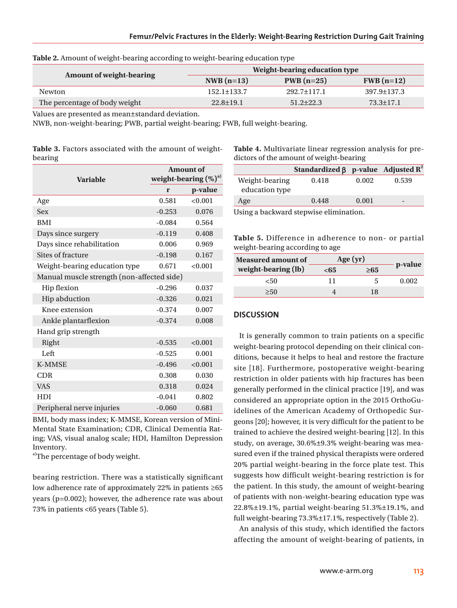| <b>Amount of weight-bearing</b> | Weight-bearing education type |                   |                   |  |
|---------------------------------|-------------------------------|-------------------|-------------------|--|
|                                 | $NWB(n=13)$                   | $PWB(n=25)$       | $FWB(n=12)$       |  |
| Newton                          | $152.1 \pm 133.7$             | $292.7 \pm 117.1$ | $397.9 \pm 137.3$ |  |
| The percentage of body weight   | $22.8 \pm 19.1$               | $51.2\pm 22.3$    | $73.3 \pm 17.1$   |  |

| Table 2. Amount of weight-bearing according to weight-bearing education type |  |  |  |  |  |
|------------------------------------------------------------------------------|--|--|--|--|--|
|------------------------------------------------------------------------------|--|--|--|--|--|

Values are presented as mean±standard deviation.

NWB, non-weight-bearing; PWB, partial weight-bearing; FWB, full weight-bearing.

|         | <b>Table 3.</b> Factors associated with the amount of weight- |  |  |
|---------|---------------------------------------------------------------|--|--|
| bearing |                                                               |  |  |

|                                            | <b>Amount of</b><br>weight-bearing $(\%)^{\text{a}}$ |         |
|--------------------------------------------|------------------------------------------------------|---------|
| <b>Variable</b>                            |                                                      |         |
|                                            | r                                                    | p-value |
| Age                                        | 0.581                                                | < 0.001 |
| <b>Sex</b>                                 | $-0.253$                                             | 0.076   |
| <b>BMI</b>                                 | $-0.084$                                             | 0.564   |
| Days since surgery                         | $-0.119$                                             | 0.408   |
| Days since rehabilitation                  | 0.006                                                | 0.969   |
| Sites of fracture                          | $-0.198$                                             | 0.167   |
| Weight-bearing education type              | 0.671                                                | < 0.001 |
| Manual muscle strength (non-affected side) |                                                      |         |
| Hip flexion                                | $-0.296$                                             | 0.037   |
| Hip abduction                              | $-0.326$                                             | 0.021   |
| Knee extension                             | $-0.374$                                             | 0.007   |
| Ankle plantarflexion                       | $-0.374$                                             | 0.008   |
| Hand grip strength                         |                                                      |         |
| Right                                      | $-0.535$                                             | < 0.001 |
| Left                                       | $-0.525$                                             | 0.001   |
| <b>K-MMSE</b>                              | $-0.496$                                             | < 0.001 |
| <b>CDR</b>                                 | 0.308                                                | 0.030   |
| <b>VAS</b>                                 | 0.318                                                | 0.024   |
| <b>HDI</b>                                 | $-0.041$                                             | 0.802   |
| Peripheral nerve injuries                  | $-0.060$                                             | 0.681   |

BMI, body mass index; K-MMSE, Korean version of Mini-Mental State Examination; CDR, Clinical Dementia Rating; VAS, visual analog scale; HDI, Hamilton Depression Inventory.

a)The percentage of body weight.

bearing restriction. There was a statistically significant low adherence rate of approximately 22% in patients ≥65 years (p=0.002); however, the adherence rate was about 73% in patients <65 years (Table 5).

**Table 4.** Multivariate linear regression analysis for predictors of the amount of weight-bearing

| 0.418 | 0.002 | 0.539                                       |
|-------|-------|---------------------------------------------|
| 0.448 | 0.001 | -                                           |
|       |       | Standardized $\beta$ p-value Adjusted $R^2$ |

Using a backward stepwise elimination.

**Table 5.** Difference in adherence to non- or partial weight-bearing according to age

| <b>Measured amount of</b> | Age $(yr)$ |           |         |
|---------------------------|------------|-----------|---------|
| weight-bearing (lb)       | <65        | $\geq 65$ | p-value |
| <50                       | 11         |           | 0.002   |
| >50                       |            | 18        |         |

## **DISCUSSION**

It is generally common to train patients on a specific weight-bearing protocol depending on their clinical conditions, because it helps to heal and restore the fracture site [18]. Furthermore, postoperative weight-bearing restriction in older patients with hip fractures has been generally performed in the clinical practice [19], and was considered an appropriate option in the 2015 OrthoGuidelines of the American Academy of Orthopedic Surgeons [20]; however, it is very difficult for the patient to be trained to achieve the desired weight-bearing [12]. In this study, on average, 30.6%±9.3% weight-bearing was measured even if the trained physical therapists were ordered 20% partial weight-bearing in the force plate test. This suggests how difficult weight-bearing restriction is for the patient. In this study, the amount of weight-bearing of patients with non-weight-bearing education type was 22.8%±19.1%, partial weight-bearing 51.3%±19.1%, and full weight-bearing 73.3%±17.1%, respectively (Table 2).

An analysis of this study, which identified the factors affecting the amount of weight-bearing of patients, in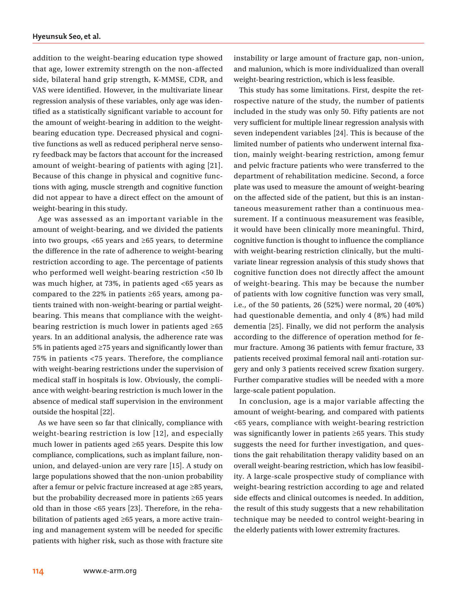addition to the weight-bearing education type showed that age, lower extremity strength on the non-affected side, bilateral hand grip strength, K-MMSE, CDR, and VAS were identified. However, in the multivariate linear regression analysis of these variables, only age was identified as a statistically significant variable to account for the amount of weight-bearing in addition to the weightbearing education type. Decreased physical and cognitive functions as well as reduced peripheral nerve sensory feedback may be factors that account for the increased amount of weight-bearing of patients with aging [21]. Because of this change in physical and cognitive functions with aging, muscle strength and cognitive function did not appear to have a direct effect on the amount of weight-bearing in this study.

Age was assessed as an important variable in the amount of weight-bearing, and we divided the patients into two groups, <65 years and ≥65 years, to determine the difference in the rate of adherence to weight-bearing restriction according to age. The percentage of patients who performed well weight-bearing restriction <50 lb was much higher, at 73%, in patients aged <65 years as compared to the 22% in patients  $\geq 65$  years, among patients trained with non-weight-bearing or partial weightbearing. This means that compliance with the weightbearing restriction is much lower in patients aged  $\geq 65$ years. In an additional analysis, the adherence rate was 5% in patients aged ≥75 years and significantly lower than 75% in patients <75 years. Therefore, the compliance with weight-bearing restrictions under the supervision of medical staff in hospitals is low. Obviously, the compliance with weight-bearing restriction is much lower in the absence of medical staff supervision in the environment outside the hospital [22].

As we have seen so far that clinically, compliance with weight-bearing restriction is low [12], and especially much lower in patients aged ≥65 years. Despite this low compliance, complications, such as implant failure, nonunion, and delayed-union are very rare [15]. A study on large populations showed that the non-union probability after a femur or pelvic fracture increased at age ≥85 years, but the probability decreased more in patients ≥65 years old than in those <65 years [23]. Therefore, in the rehabilitation of patients aged ≥65 years, a more active training and management system will be needed for specific patients with higher risk, such as those with fracture site instability or large amount of fracture gap, non-union, and malunion, which is more individualized than overall weight-bearing restriction, which is less feasible.

This study has some limitations. First, despite the retrospective nature of the study, the number of patients included in the study was only 50. Fifty patients are not very sufficient for multiple linear regression analysis with seven independent variables [24]. This is because of the limited number of patients who underwent internal fixation, mainly weight-bearing restriction, among femur and pelvic fracture patients who were transferred to the department of rehabilitation medicine. Second, a force plate was used to measure the amount of weight-bearing on the affected side of the patient, but this is an instantaneous measurement rather than a continuous measurement. If a continuous measurement was feasible, it would have been clinically more meaningful. Third, cognitive function is thought to influence the compliance with weight-bearing restriction clinically, but the multivariate linear regression analysis of this study shows that cognitive function does not directly affect the amount of weight-bearing. This may be because the number of patients with low cognitive function was very small, i.e., of the 50 patients, 26 (52%) were normal, 20 (40%) had questionable dementia, and only 4 (8%) had mild dementia [25]. Finally, we did not perform the analysis according to the difference of operation method for femur fracture. Among 36 patients with femur fracture, 33 patients received proximal femoral nail anti-rotation surgery and only 3 patients received screw fixation surgery. Further comparative studies will be needed with a more large-scale patient population.

In conclusion, age is a major variable affecting the amount of weight-bearing, and compared with patients <65 years, compliance with weight-bearing restriction was significantly lower in patients ≥65 years. This study suggests the need for further investigation, and questions the gait rehabilitation therapy validity based on an overall weight-bearing restriction, which has low feasibility. A large-scale prospective study of compliance with weight-bearing restriction according to age and related side effects and clinical outcomes is needed. In addition, the result of this study suggests that a new rehabilitation technique may be needed to control weight-bearing in the elderly patients with lower extremity fractures.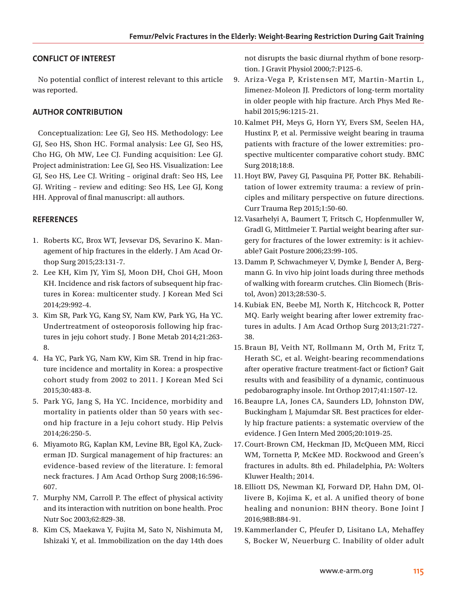# **CONFLICT OF INTEREST**

No potential conflict of interest relevant to this article was reported.

# **AUTHOR CONTRIBUTION**

Conceptualization: Lee GJ, Seo HS. Methodology: Lee GJ, Seo HS, Shon HC. Formal analysis: Lee GJ, Seo HS, Cho HG, Oh MW, Lee CJ. Funding acquisition: Lee GJ. Project administration: Lee GJ, Seo HS. Visualization: Lee GJ, Seo HS, Lee CJ. Writing – original draft: Seo HS, Lee GJ. Writing – review and editing: Seo HS, Lee GJ, Kong HH. Approval of final manuscript: all authors.

# **REFERENCES**

- 1. Roberts KC, Brox WT, Jevsevar DS, Sevarino K. Management of hip fractures in the elderly. J Am Acad Orthop Surg 2015;23:131-7.
- 2. Lee KH, Kim JY, Yim SJ, Moon DH, Choi GH, Moon KH. Incidence and risk factors of subsequent hip fractures in Korea: multicenter study. J Korean Med Sci 2014;29:992-4.
- 3. Kim SR, Park YG, Kang SY, Nam KW, Park YG, Ha YC. Undertreatment of osteoporosis following hip fractures in jeju cohort study. J Bone Metab 2014;21:263- 8.
- 4. Ha YC, Park YG, Nam KW, Kim SR. Trend in hip fracture incidence and mortality in Korea: a prospective cohort study from 2002 to 2011. J Korean Med Sci 2015;30:483-8.
- 5. Park YG, Jang S, Ha YC. Incidence, morbidity and mortality in patients older than 50 years with second hip fracture in a Jeju cohort study. Hip Pelvis 2014;26:250-5.
- 6. Miyamoto RG, Kaplan KM, Levine BR, Egol KA, Zuckerman JD. Surgical management of hip fractures: an evidence-based review of the literature. I: femoral neck fractures. J Am Acad Orthop Surg 2008;16:596- 607.
- 7. Murphy NM, Carroll P. The effect of physical activity and its interaction with nutrition on bone health. Proc Nutr Soc 2003;62:829-38.
- 8. Kim CS, Maekawa Y, Fujita M, Sato N, Nishimuta M, Ishizaki Y, et al. Immobilization on the day 14th does

not disrupts the basic diurnal rhythm of bone resorption. J Gravit Physiol 2000;7:P125-6.

- 9. Ariza-Vega P, Kristensen MT, Martin-Martin L, Jimenez-Moleon JJ. Predictors of long-term mortality in older people with hip fracture. Arch Phys Med Rehabil 2015;96:1215-21.
- 10.Kalmet PH, Meys G, Horn YY, Evers SM, Seelen HA, Hustinx P, et al. Permissive weight bearing in trauma patients with fracture of the lower extremities: prospective multicenter comparative cohort study. BMC Surg 2018;18:8.
- 11.Hoyt BW, Pavey GJ, Pasquina PF, Potter BK. Rehabilitation of lower extremity trauma: a review of principles and military perspective on future directions. Curr Trauma Rep 2015;1:50-60.
- 12.Vasarhelyi A, Baumert T, Fritsch C, Hopfenmuller W, Gradl G, Mittlmeier T. Partial weight bearing after surgery for fractures of the lower extremity: is it achievable? Gait Posture 2006;23:99-105.
- 13.Damm P, Schwachmeyer V, Dymke J, Bender A, Bergmann G. In vivo hip joint loads during three methods of walking with forearm crutches. Clin Biomech (Bristol, Avon) 2013;28:530-5.
- 14.Kubiak EN, Beebe MJ, North K, Hitchcock R, Potter MQ. Early weight bearing after lower extremity fractures in adults. J Am Acad Orthop Surg 2013;21:727- 38.
- 15.Braun BJ, Veith NT, Rollmann M, Orth M, Fritz T, Herath SC, et al. Weight-bearing recommendations after operative fracture treatment-fact or fiction? Gait results with and feasibility of a dynamic, continuous pedobarography insole. Int Orthop 2017;41:1507-12.
- 16.Beaupre LA, Jones CA, Saunders LD, Johnston DW, Buckingham J, Majumdar SR. Best practices for elderly hip fracture patients: a systematic overview of the evidence. J Gen Intern Med 2005;20:1019-25.
- 17.Court-Brown CM, Heckman JD, McQueen MM, Ricci WM, Tornetta P, McKee MD. Rockwood and Green's fractures in adults. 8th ed. Philadelphia, PA: Wolters Kluwer Health; 2014.
- 18.Elliott DS, Newman KJ, Forward DP, Hahn DM, Ollivere B, Kojima K, et al. A unified theory of bone healing and nonunion: BHN theory. Bone Joint J 2016;98B:884-91.
- 19.Kammerlander C, Pfeufer D, Lisitano LA, Mehaffey S, Bocker W, Neuerburg C. Inability of older adult